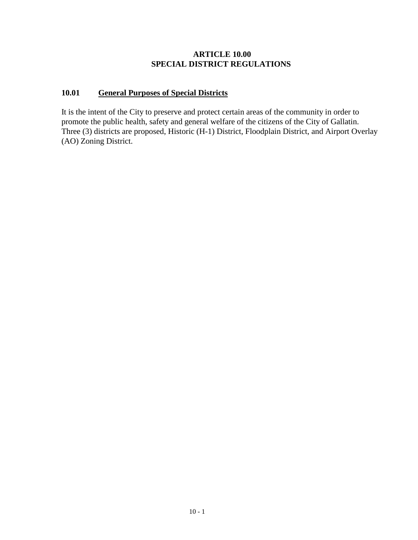## **ARTICLE 10.00 SPECIAL DISTRICT REGULATIONS**

## **10.01 General Purposes of Special Districts**

It is the intent of the City to preserve and protect certain areas of the community in order to promote the public health, safety and general welfare of the citizens of the City of Gallatin. Three (3) districts are proposed, Historic (H-1) District, Floodplain District, and Airport Overlay (AO) Zoning District.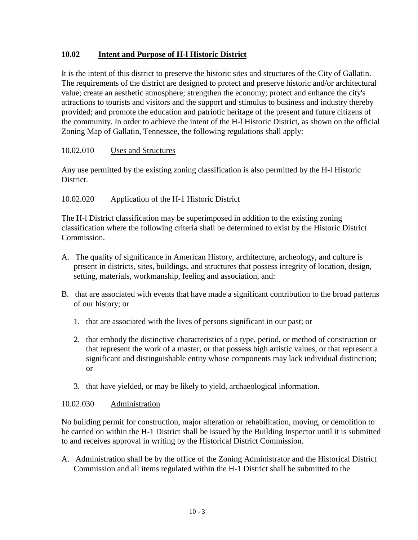# **10.02 Intent and Purpose of H-l Historic District**

It is the intent of this district to preserve the historic sites and structures of the City of Gallatin. The requirements of the district are designed to protect and preserve historic and/or architectural value; create an aesthetic atmosphere; strengthen the economy; protect and enhance the city's attractions to tourists and visitors and the support and stimulus to business and industry thereby provided; and promote the education and patriotic heritage of the present and future citizens of the community. In order to achieve the intent of the H-l Historic District, as shown on the official Zoning Map of Gallatin, Tennessee, the following regulations shall apply:

## 10.02.010 Uses and Structures

Any use permitted by the existing zoning classification is also permitted by the H-l Historic District.

## 10.02.020 Application of the H-1 Historic District

The H-l District classification may be superimposed in addition to the existing zoning classification where the following criteria shall be determined to exist by the Historic District Commission.

- A. The quality of significance in American History, architecture, archeology, and culture is present in districts, sites, buildings, and structures that possess integrity of location, design, setting, materials, workmanship, feeling and association, and:
- B. that are associated with events that have made a significant contribution to the broad patterns of our history; or
	- 1. that are associated with the lives of persons significant in our past; or
	- 2. that embody the distinctive characteristics of a type, period, or method of construction or that represent the work of a master, or that possess high artistic values, or that represent a significant and distinguishable entity whose components may lack individual distinction; or
	- 3. that have yielded, or may be likely to yield, archaeological information.

#### 10.02.030 Administration

No building permit for construction, major alteration or rehabilitation, moving, or demolition to be carried on within the H-1 District shall be issued by the Building Inspector until it is submitted to and receives approval in writing by the Historical District Commission.

A. Administration shall be by the office of the Zoning Administrator and the Historical District Commission and all items regulated within the H-1 District shall be submitted to the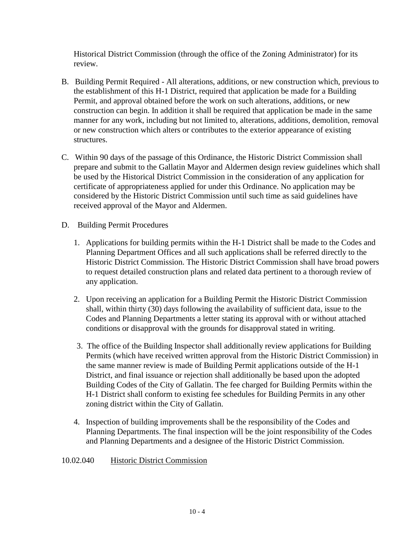Historical District Commission (through the office of the Zoning Administrator) for its review.

- B. Building Permit Required All alterations, additions, or new construction which, previous to the establishment of this H-1 District, required that application be made for a Building Permit, and approval obtained before the work on such alterations, additions, or new construction can begin. In addition it shall be required that application be made in the same manner for any work, including but not limited to, alterations, additions, demolition, removal or new construction which alters or contributes to the exterior appearance of existing structures.
- C. Within 90 days of the passage of this Ordinance, the Historic District Commission shall prepare and submit to the Gallatin Mayor and Aldermen design review guidelines which shall be used by the Historical District Commission in the consideration of any application for certificate of appropriateness applied for under this Ordinance. No application may be considered by the Historic District Commission until such time as said guidelines have received approval of the Mayor and Aldermen.
- D. Building Permit Procedures
	- 1. Applications for building permits within the H-1 District shall be made to the Codes and Planning Department Offices and all such applications shall be referred directly to the Historic District Commission. The Historic District Commission shall have broad powers to request detailed construction plans and related data pertinent to a thorough review of any application.
	- 2. Upon receiving an application for a Building Permit the Historic District Commission shall, within thirty (30) days following the availability of sufficient data, issue to the Codes and Planning Departments a letter stating its approval with or without attached conditions or disapproval with the grounds for disapproval stated in writing.
	- 3. The office of the Building Inspector shall additionally review applications for Building Permits (which have received written approval from the Historic District Commission) in the same manner review is made of Building Permit applications outside of the H-1 District, and final issuance or rejection shall additionally be based upon the adopted Building Codes of the City of Gallatin. The fee charged for Building Permits within the H-1 District shall conform to existing fee schedules for Building Permits in any other zoning district within the City of Gallatin.
	- 4. Inspection of building improvements shall be the responsibility of the Codes and Planning Departments. The final inspection will be the joint responsibility of the Codes and Planning Departments and a designee of the Historic District Commission.
- 10.02.040 Historic District Commission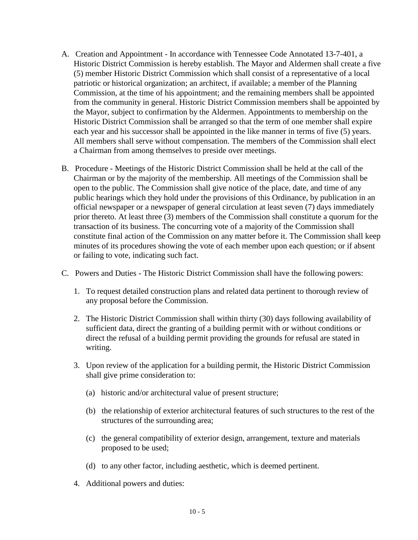- A. Creation and Appointment In accordance with Tennessee Code Annotated 13-7-401, a Historic District Commission is hereby establish. The Mayor and Aldermen shall create a five (5) member Historic District Commission which shall consist of a representative of a local patriotic or historical organization; an architect, if available; a member of the Planning Commission, at the time of his appointment; and the remaining members shall be appointed from the community in general. Historic District Commission members shall be appointed by the Mayor, subject to confirmation by the Aldermen. Appointments to membership on the Historic District Commission shall be arranged so that the term of one member shall expire each year and his successor shall be appointed in the like manner in terms of five (5) years. All members shall serve without compensation. The members of the Commission shall elect a Chairman from among themselves to preside over meetings.
- B. Procedure Meetings of the Historic District Commission shall be held at the call of the Chairman or by the majority of the membership. All meetings of the Commission shall be open to the public. The Commission shall give notice of the place, date, and time of any public hearings which they hold under the provisions of this Ordinance, by publication in an official newspaper or a newspaper of general circulation at least seven (7) days immediately prior thereto. At least three (3) members of the Commission shall constitute a quorum for the transaction of its business. The concurring vote of a majority of the Commission shall constitute final action of the Commission on any matter before it. The Commission shall keep minutes of its procedures showing the vote of each member upon each question; or if absent or failing to vote, indicating such fact.
- C. Powers and Duties The Historic District Commission shall have the following powers:
	- 1. To request detailed construction plans and related data pertinent to thorough review of any proposal before the Commission.
	- 2. The Historic District Commission shall within thirty (30) days following availability of sufficient data, direct the granting of a building permit with or without conditions or direct the refusal of a building permit providing the grounds for refusal are stated in writing.
	- 3. Upon review of the application for a building permit, the Historic District Commission shall give prime consideration to:
		- (a) historic and/or architectural value of present structure;
		- (b) the relationship of exterior architectural features of such structures to the rest of the structures of the surrounding area;
		- (c) the general compatibility of exterior design, arrangement, texture and materials proposed to be used;
		- (d) to any other factor, including aesthetic, which is deemed pertinent.
	- 4. Additional powers and duties: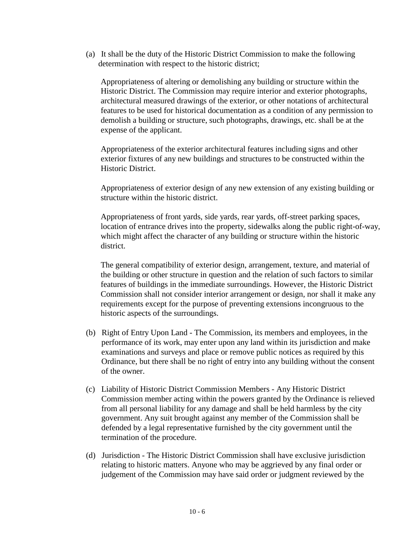(a) It shall be the duty of the Historic District Commission to make the following determination with respect to the historic district;

Appropriateness of altering or demolishing any building or structure within the Historic District. The Commission may require interior and exterior photographs, architectural measured drawings of the exterior, or other notations of architectural features to be used for historical documentation as a condition of any permission to demolish a building or structure, such photographs, drawings, etc. shall be at the expense of the applicant.

Appropriateness of the exterior architectural features including signs and other exterior fixtures of any new buildings and structures to be constructed within the Historic District.

Appropriateness of exterior design of any new extension of any existing building or structure within the historic district.

Appropriateness of front yards, side yards, rear yards, off-street parking spaces, location of entrance drives into the property, sidewalks along the public right-of-way, which might affect the character of any building or structure within the historic district.

The general compatibility of exterior design, arrangement, texture, and material of the building or other structure in question and the relation of such factors to similar features of buildings in the immediate surroundings. However, the Historic District Commission shall not consider interior arrangement or design, nor shall it make any requirements except for the purpose of preventing extensions incongruous to the historic aspects of the surroundings.

- (b) Right of Entry Upon Land The Commission, its members and employees, in the performance of its work, may enter upon any land within its jurisdiction and make examinations and surveys and place or remove public notices as required by this Ordinance, but there shall be no right of entry into any building without the consent of the owner.
- (c) Liability of Historic District Commission Members Any Historic District Commission member acting within the powers granted by the Ordinance is relieved from all personal liability for any damage and shall be held harmless by the city government. Any suit brought against any member of the Commission shall be defended by a legal representative furnished by the city government until the termination of the procedure.
- (d) Jurisdiction The Historic District Commission shall have exclusive jurisdiction relating to historic matters. Anyone who may be aggrieved by any final order or judgement of the Commission may have said order or judgment reviewed by the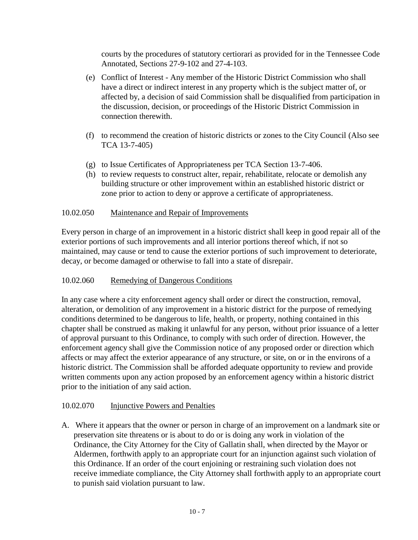courts by the procedures of statutory certiorari as provided for in the Tennessee Code Annotated, Sections 27-9-102 and 27-4-103.

- (e) Conflict of Interest Any member of the Historic District Commission who shall have a direct or indirect interest in any property which is the subject matter of, or affected by, a decision of said Commission shall be disqualified from participation in the discussion, decision, or proceedings of the Historic District Commission in connection therewith.
- (f) to recommend the creation of historic districts or zones to the City Council (Also see TCA 13-7-405)
- (g) to Issue Certificates of Appropriateness per TCA Section 13-7-406.
- (h) to review requests to construct alter, repair, rehabilitate, relocate or demolish any building structure or other improvement within an established historic district or zone prior to action to deny or approve a certificate of appropriateness.

## 10.02.050 Maintenance and Repair of Improvements

Every person in charge of an improvement in a historic district shall keep in good repair all of the exterior portions of such improvements and all interior portions thereof which, if not so maintained, may cause or tend to cause the exterior portions of such improvement to deteriorate, decay, or become damaged or otherwise to fall into a state of disrepair.

# 10.02.060 Remedying of Dangerous Conditions

In any case where a city enforcement agency shall order or direct the construction, removal, alteration, or demolition of any improvement in a historic district for the purpose of remedying conditions determined to be dangerous to life, health, or property, nothing contained in this chapter shall be construed as making it unlawful for any person, without prior issuance of a letter of approval pursuant to this Ordinance, to comply with such order of direction. However, the enforcement agency shall give the Commission notice of any proposed order or direction which affects or may affect the exterior appearance of any structure, or site, on or in the environs of a historic district. The Commission shall be afforded adequate opportunity to review and provide written comments upon any action proposed by an enforcement agency within a historic district prior to the initiation of any said action.

## 10.02.070 Injunctive Powers and Penalties

A. Where it appears that the owner or person in charge of an improvement on a landmark site or preservation site threatens or is about to do or is doing any work in violation of the Ordinance, the City Attorney for the City of Gallatin shall, when directed by the Mayor or Aldermen, forthwith apply to an appropriate court for an injunction against such violation of this Ordinance. If an order of the court enjoining or restraining such violation does not receive immediate compliance, the City Attorney shall forthwith apply to an appropriate court to punish said violation pursuant to law.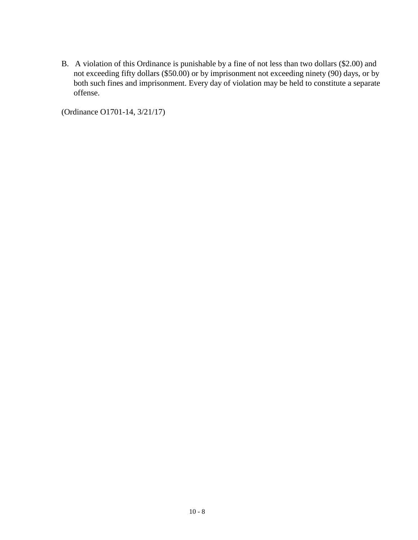B. A violation of this Ordinance is punishable by a fine of not less than two dollars (\$2.00) and not exceeding fifty dollars (\$50.00) or by imprisonment not exceeding ninety (90) days, or by both such fines and imprisonment. Every day of violation may be held to constitute a separate offense.

(Ordinance O1701-14, 3/21/17)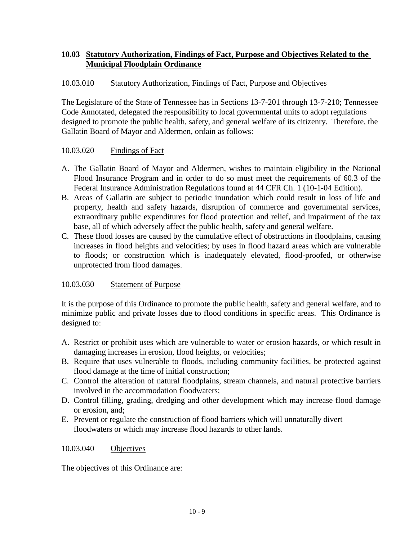# **10.03 Statutory Authorization, Findings of Fact, Purpose and Objectives Related to the Municipal Floodplain Ordinance**

## 10.03.010 Statutory Authorization, Findings of Fact, Purpose and Objectives

The Legislature of the State of Tennessee has in Sections 13-7-201 through 13-7-210; Tennessee Code Annotated, delegated the responsibility to local governmental units to adopt regulations designed to promote the public health, safety, and general welfare of its citizenry. Therefore, the Gallatin Board of Mayor and Aldermen, ordain as follows:

## 10.03.020 Findings of Fact

- A. The Gallatin Board of Mayor and Aldermen, wishes to maintain eligibility in the National Flood Insurance Program and in order to do so must meet the requirements of 60.3 of the Federal Insurance Administration Regulations found at 44 CFR Ch. 1 (10-1-04 Edition).
- B. Areas of Gallatin are subject to periodic inundation which could result in loss of life and property, health and safety hazards, disruption of commerce and governmental services, extraordinary public expenditures for flood protection and relief, and impairment of the tax base, all of which adversely affect the public health, safety and general welfare.
- C. These flood losses are caused by the cumulative effect of obstructions in floodplains, causing increases in flood heights and velocities; by uses in flood hazard areas which are vulnerable to floods; or construction which is inadequately elevated, flood-proofed, or otherwise unprotected from flood damages.

## 10.03.030 Statement of Purpose

It is the purpose of this Ordinance to promote the public health, safety and general welfare, and to minimize public and private losses due to flood conditions in specific areas. This Ordinance is designed to:

- A. Restrict or prohibit uses which are vulnerable to water or erosion hazards, or which result in damaging increases in erosion, flood heights, or velocities;
- B. Require that uses vulnerable to floods, including community facilities, be protected against flood damage at the time of initial construction;
- C. Control the alteration of natural floodplains, stream channels, and natural protective barriers involved in the accommodation floodwaters;
- D. Control filling, grading, dredging and other development which may increase flood damage or erosion, and;
- E. Prevent or regulate the construction of flood barriers which will unnaturally divert floodwaters or which may increase flood hazards to other lands.

#### 10.03.040 Objectives

The objectives of this Ordinance are: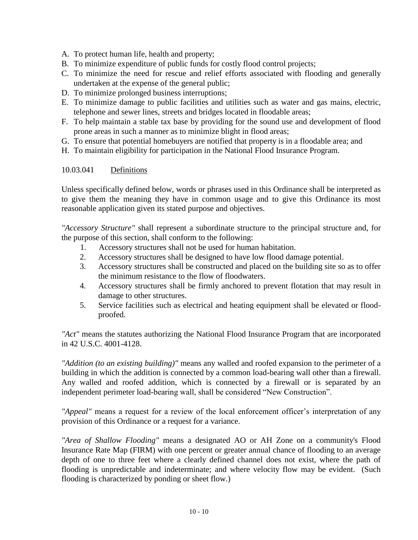A. To protect human life, health and property;

- B. To minimize expenditure of public funds for costly flood control projects;
- C. To minimize the need for rescue and relief efforts associated with flooding and generally undertaken at the expense of the general public;
- D. To minimize prolonged business interruptions;
- E. To minimize damage to public facilities and utilities such as water and gas mains, electric, telephone and sewer lines, streets and bridges located in floodable areas;
- F. To help maintain a stable tax base by providing for the sound use and development of flood prone areas in such a manner as to minimize blight in flood areas;
- G. To ensure that potential homebuyers are notified that property is in a floodable area; and
- H. To maintain eligibility for participation in the National Flood Insurance Program.

## 10.03.041 Definitions

Unless specifically defined below, words or phrases used in this Ordinance shall be interpreted as to give them the meaning they have in common usage and to give this Ordinance its most reasonable application given its stated purpose and objectives.

*"Accessory Structure"* shall represent a subordinate structure to the principal structure and, for the purpose of this section, shall conform to the following:

- 1. Accessory structures shall not be used for human habitation.
- 2. Accessory structures shall be designed to have low flood damage potential.
- 3. Accessory structures shall be constructed and placed on the building site so as to offer the minimum resistance to the flow of floodwaters.
- 4. Accessory structures shall be firmly anchored to prevent flotation that may result in damage to other structures.
- 5. Service facilities such as electrical and heating equipment shall be elevated or floodproofed.

*"Act"* means the statutes authorizing the National Flood Insurance Program that are incorporated in 42 U.S.C. 4001-4128.

*"Addition (to an existing building)"* means any walled and roofed expansion to the perimeter of a building in which the addition is connected by a common load-bearing wall other than a firewall. Any walled and roofed addition, which is connected by a firewall or is separated by an independent perimeter load-bearing wall, shall be considered "New Construction".

*"Appeal"* means a request for a review of the local enforcement officer's interpretation of any provision of this Ordinance or a request for a variance.

*"Area of Shallow Flooding"* means a designated AO or AH Zone on a community's Flood Insurance Rate Map (FIRM) with one percent or greater annual chance of flooding to an average depth of one to three feet where a clearly defined channel does not exist, where the path of flooding is unpredictable and indeterminate; and where velocity flow may be evident. (Such flooding is characterized by ponding or sheet flow.)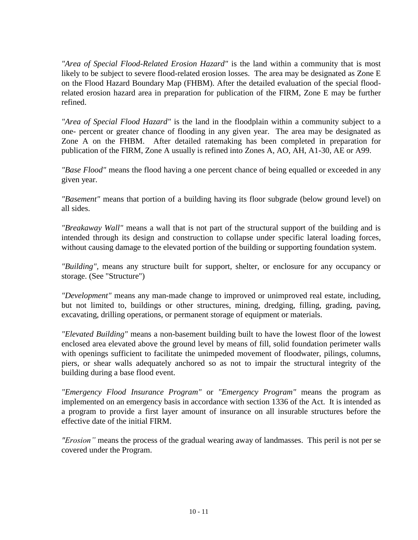*"Area of Special Flood-Related Erosion Hazard"* is the land within a community that is most likely to be subject to severe flood-related erosion losses. The area may be designated as Zone E on the Flood Hazard Boundary Map (FHBM). After the detailed evaluation of the special floodrelated erosion hazard area in preparation for publication of the FIRM, Zone E may be further refined.

*"Area of Special Flood Hazard"* is the land in the floodplain within a community subject to a one- percent or greater chance of flooding in any given year. The area may be designated as Zone A on the FHBM. After detailed ratemaking has been completed in preparation for publication of the FIRM, Zone A usually is refined into Zones A, AO, AH, A1-30, AE or A99.

*"Base Flood"* means the flood having a one percent chance of being equalled or exceeded in any given year.

*"Basement"* means that portion of a building having its floor subgrade (below ground level) on all sides.

*"Breakaway Wall"* means a wall that is not part of the structural support of the building and is intended through its design and construction to collapse under specific lateral loading forces, without causing damage to the elevated portion of the building or supporting foundation system.

*"Building",* means any structure built for support, shelter, or enclosure for any occupancy or storage. (See "Structure")

*"Development"* means any man-made change to improved or unimproved real estate, including, but not limited to, buildings or other structures, mining, dredging, filling, grading, paving, excavating, drilling operations, or permanent storage of equipment or materials.

*"Elevated Building"* means a non-basement building built to have the lowest floor of the lowest enclosed area elevated above the ground level by means of fill, solid foundation perimeter walls with openings sufficient to facilitate the unimpeded movement of floodwater, pilings, columns, piers, or shear walls adequately anchored so as not to impair the structural integrity of the building during a base flood event.

*"Emergency Flood Insurance Program"* or *"Emergency Program"* means the program as implemented on an emergency basis in accordance with section 1336 of the Act. It is intended as a program to provide a first layer amount of insurance on all insurable structures before the effective date of the initial FIRM.

*"Erosion"* means the process of the gradual wearing away of landmasses. This peril is not per se covered under the Program.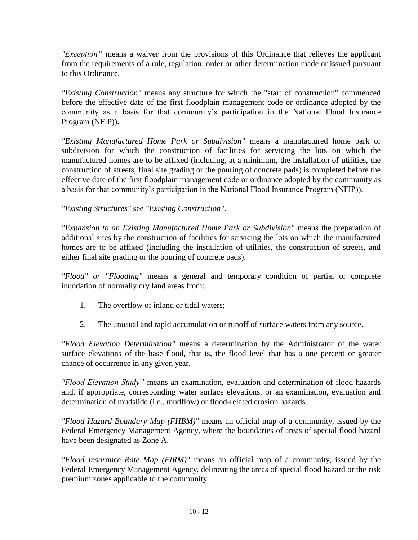*"Exception"* means a waiver from the provisions of this Ordinance that relieves the applicant from the requirements of a rule, regulation, order or other determination made or issued pursuant to this Ordinance.

*"Existing Construction"* means any structure for which the "start of construction" commenced before the effective date of the first floodplain management code or ordinance adopted by the community as a basis for that community's participation in the National Flood Insurance Program (NFIP)).

*"Existing Manufactured Home Park or Subdivision"* means a manufactured home park or subdivision for which the construction of facilities for servicing the lots on which the manufactured homes are to be affixed (including, at a minimum, the installation of utilities, the construction of streets, final site grading or the pouring of concrete pads) is completed before the effective date of the first floodplain management code or ordinance adopted by the community as a basis for that community's participation in the National Flood Insurance Program (NFIP)).

*"Existing Structures"* see *"Existing Construction"*.

*"Expansion to an Existing Manufactured Home Park or Subdivision"* means the preparation of additional sites by the construction of facilities for servicing the lots on which the manufactured homes are to be affixed (including the installation of utilities, the construction of streets, and either final site grading or the pouring of concrete pads).

*"Flood" or "Flooding"* means a general and temporary condition of partial or complete inundation of normally dry land areas from:

- 1. The overflow of inland or tidal waters;
- 2. The unusual and rapid accumulation or runoff of surface waters from any source.

*"Flood Elevation Determination"* means a determination by the Administrator of the water surface elevations of the base flood, that is, the flood level that has a one percent or greater chance of occurrence in any given year.

*"Flood Elevation Study"* means an examination, evaluation and determination of flood hazards and, if appropriate, corresponding water surface elevations, or an examination, evaluation and determination of mudslide (i.e., mudflow) or flood-related erosion hazards.

*"Flood Hazard Boundary Map (FHBM)"* means an official map of a community, issued by the Federal Emergency Management Agency, where the boundaries of areas of special flood hazard have been designated as Zone A.

*"Flood Insurance Rate Map (FIRM)"* means an official map of a community, issued by the Federal Emergency Management Agency, delineating the areas of special flood hazard or the risk premium zones applicable to the community.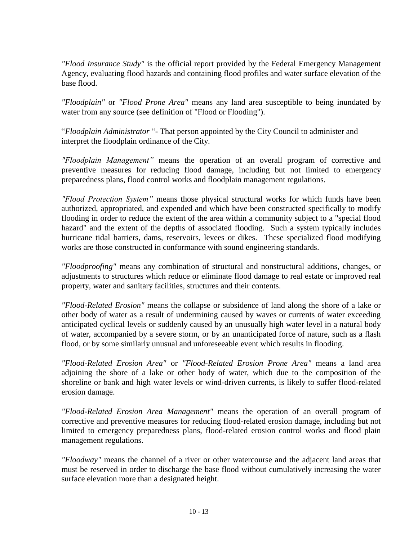*"Flood Insurance Study"* is the official report provided by the Federal Emergency Management Agency, evaluating flood hazards and containing flood profiles and water surface elevation of the base flood.

*"Floodplain"* or *"Flood Prone Area"* means any land area susceptible to being inundated by water from any source (see definition of "Flood or Flooding").

"*Floodplain Administrator* "- That person appointed by the City Council to administer and interpret the floodplain ordinance of the City.

*"Floodplain Management"* means the operation of an overall program of corrective and preventive measures for reducing flood damage, including but not limited to emergency preparedness plans, flood control works and floodplain management regulations.

*"Flood Protection System"* means those physical structural works for which funds have been authorized, appropriated, and expended and which have been constructed specifically to modify flooding in order to reduce the extent of the area within a community subject to a "special flood hazard" and the extent of the depths of associated flooding. Such a system typically includes hurricane tidal barriers, dams, reservoirs, levees or dikes. These specialized flood modifying works are those constructed in conformance with sound engineering standards.

*"Floodproofing"* means any combination of structural and nonstructural additions, changes, or adjustments to structures which reduce or eliminate flood damage to real estate or improved real property, water and sanitary facilities, structures and their contents.

*"Flood-Related Erosion"* means the collapse or subsidence of land along the shore of a lake or other body of water as a result of undermining caused by waves or currents of water exceeding anticipated cyclical levels or suddenly caused by an unusually high water level in a natural body of water, accompanied by a severe storm, or by an unanticipated force of nature, such as a flash flood, or by some similarly unusual and unforeseeable event which results in flooding.

*"Flood-Related Erosion Area"* or *"Flood-Related Erosion Prone Area"* means a land area adjoining the shore of a lake or other body of water, which due to the composition of the shoreline or bank and high water levels or wind-driven currents, is likely to suffer flood-related erosion damage.

*"Flood-Related Erosion Area Management"* means the operation of an overall program of corrective and preventive measures for reducing flood-related erosion damage, including but not limited to emergency preparedness plans, flood-related erosion control works and flood plain management regulations.

*"Floodway"* means the channel of a river or other watercourse and the adjacent land areas that must be reserved in order to discharge the base flood without cumulatively increasing the water surface elevation more than a designated height.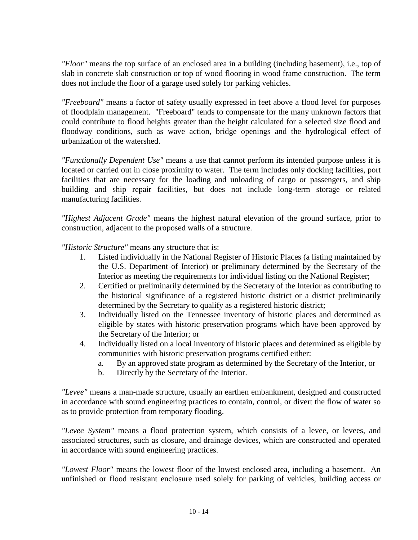*"Floor"* means the top surface of an enclosed area in a building (including basement), i.e., top of slab in concrete slab construction or top of wood flooring in wood frame construction. The term does not include the floor of a garage used solely for parking vehicles.

*"Freeboard"* means a factor of safety usually expressed in feet above a flood level for purposes of floodplain management. "Freeboard" tends to compensate for the many unknown factors that could contribute to flood heights greater than the height calculated for a selected size flood and floodway conditions, such as wave action, bridge openings and the hydrological effect of urbanization of the watershed.

*"Functionally Dependent Use"* means a use that cannot perform its intended purpose unless it is located or carried out in close proximity to water. The term includes only docking facilities, port facilities that are necessary for the loading and unloading of cargo or passengers, and ship building and ship repair facilities, but does not include long-term storage or related manufacturing facilities.

*"Highest Adjacent Grade"* means the highest natural elevation of the ground surface, prior to construction, adjacent to the proposed walls of a structure.

*"Historic Structure"* means any structure that is:

- 1. Listed individually in the National Register of Historic Places (a listing maintained by the U.S. Department of Interior) or preliminary determined by the Secretary of the Interior as meeting the requirements for individual listing on the National Register;
- 2. Certified or preliminarily determined by the Secretary of the Interior as contributing to the historical significance of a registered historic district or a district preliminarily determined by the Secretary to qualify as a registered historic district;
- 3. Individually listed on the Tennessee inventory of historic places and determined as eligible by states with historic preservation programs which have been approved by the Secretary of the Interior; or
- 4. Individually listed on a local inventory of historic places and determined as eligible by communities with historic preservation programs certified either:
	- a. By an approved state program as determined by the Secretary of the Interior, or
	- b. Directly by the Secretary of the Interior.

*"Levee"* means a man-made structure, usually an earthen embankment, designed and constructed in accordance with sound engineering practices to contain, control, or divert the flow of water so as to provide protection from temporary flooding.

*"Levee System"* means a flood protection system, which consists of a levee, or levees, and associated structures, such as closure, and drainage devices, which are constructed and operated in accordance with sound engineering practices.

*"Lowest Floor"* means the lowest floor of the lowest enclosed area, including a basement. An unfinished or flood resistant enclosure used solely for parking of vehicles, building access or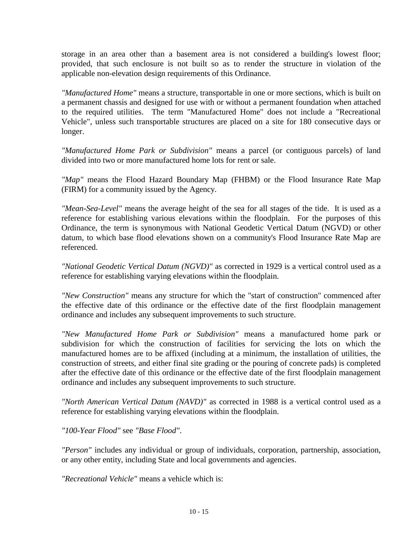storage in an area other than a basement area is not considered a building's lowest floor; provided, that such enclosure is not built so as to render the structure in violation of the applicable non-elevation design requirements of this Ordinance.

*"Manufactured Home"* means a structure, transportable in one or more sections, which is built on a permanent chassis and designed for use with or without a permanent foundation when attached to the required utilities. The term "Manufactured Home" does not include a "Recreational Vehicle", unless such transportable structures are placed on a site for 180 consecutive days or longer.

*"Manufactured Home Park or Subdivision"* means a parcel (or contiguous parcels) of land divided into two or more manufactured home lots for rent or sale.

*"Map"* means the Flood Hazard Boundary Map (FHBM) or the Flood Insurance Rate Map (FIRM) for a community issued by the Agency.

*"Mean-Sea-Level"* means the average height of the sea for all stages of the tide. It is used as a reference for establishing various elevations within the floodplain. For the purposes of this Ordinance, the term is synonymous with National Geodetic Vertical Datum (NGVD) or other datum, to which base flood elevations shown on a community's Flood Insurance Rate Map are referenced.

*"National Geodetic Vertical Datum (NGVD)"* as corrected in 1929 is a vertical control used as a reference for establishing varying elevations within the floodplain.

*"New Construction"* means any structure for which the "start of construction" commenced after the effective date of this ordinance or the effective date of the first floodplain management ordinance and includes any subsequent improvements to such structure.

*"New Manufactured Home Park or Subdivision"* means a manufactured home park or subdivision for which the construction of facilities for servicing the lots on which the manufactured homes are to be affixed (including at a minimum, the installation of utilities, the construction of streets, and either final site grading or the pouring of concrete pads) is completed after the effective date of this ordinance or the effective date of the first floodplain management ordinance and includes any subsequent improvements to such structure.

*"North American Vertical Datum (NAVD)"* as corrected in 1988 is a vertical control used as a reference for establishing varying elevations within the floodplain.

*"100-Year Flood"* see *"Base Flood"*.

*"Person"* includes any individual or group of individuals, corporation, partnership, association, or any other entity, including State and local governments and agencies.

*"Recreational Vehicle"* means a vehicle which is: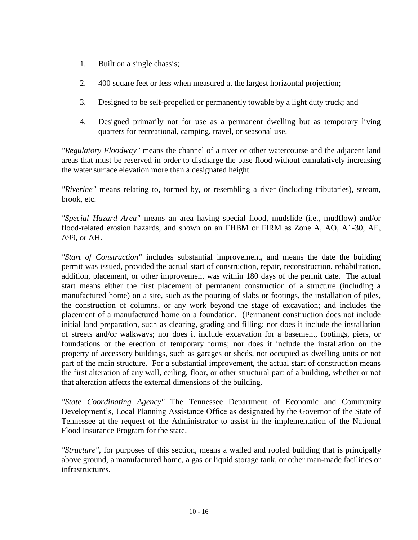- 1. Built on a single chassis;
- 2. 400 square feet or less when measured at the largest horizontal projection;
- 3. Designed to be self-propelled or permanently towable by a light duty truck; and
- 4. Designed primarily not for use as a permanent dwelling but as temporary living quarters for recreational, camping, travel, or seasonal use.

*"Regulatory Floodway"* means the channel of a river or other watercourse and the adjacent land areas that must be reserved in order to discharge the base flood without cumulatively increasing the water surface elevation more than a designated height.

*"Riverine"* means relating to, formed by, or resembling a river (including tributaries), stream, brook, etc.

*"Special Hazard Area"* means an area having special flood, mudslide (i.e., mudflow) and/or flood-related erosion hazards, and shown on an FHBM or FIRM as Zone A, AO, A1-30, AE, A99, or AH.

*"Start of Construction"* includes substantial improvement, and means the date the building permit was issued, provided the actual start of construction, repair, reconstruction, rehabilitation, addition, placement, or other improvement was within 180 days of the permit date. The actual start means either the first placement of permanent construction of a structure (including a manufactured home) on a site, such as the pouring of slabs or footings, the installation of piles, the construction of columns, or any work beyond the stage of excavation; and includes the placement of a manufactured home on a foundation. (Permanent construction does not include initial land preparation, such as clearing, grading and filling; nor does it include the installation of streets and/or walkways; nor does it include excavation for a basement, footings, piers, or foundations or the erection of temporary forms; nor does it include the installation on the property of accessory buildings, such as garages or sheds, not occupied as dwelling units or not part of the main structure. For a substantial improvement, the actual start of construction means the first alteration of any wall, ceiling, floor, or other structural part of a building, whether or not that alteration affects the external dimensions of the building.

*"State Coordinating Agency"* The Tennessee Department of Economic and Community Development's, Local Planning Assistance Office as designated by the Governor of the State of Tennessee at the request of the Administrator to assist in the implementation of the National Flood Insurance Program for the state.

*"Structure",* for purposes of this section, means a walled and roofed building that is principally above ground, a manufactured home, a gas or liquid storage tank, or other man-made facilities or infrastructures.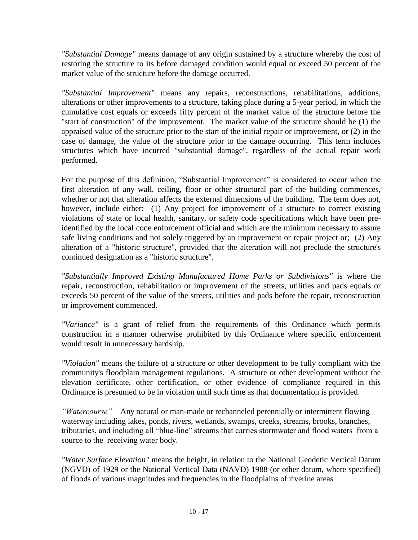*"Substantial Damage"* means damage of any origin sustained by a structure whereby the cost of restoring the structure to its before damaged condition would equal or exceed 50 percent of the market value of the structure before the damage occurred.

*"Substantial Improvement"* means any repairs, reconstructions, rehabilitations, additions, alterations or other improvements to a structure, taking place during a 5-year period, in which the cumulative cost equals or exceeds fifty percent of the market value of the structure before the "start of construction" of the improvement. The market value of the structure should be (1) the appraised value of the structure prior to the start of the initial repair or improvement, or (2) in the case of damage, the value of the structure prior to the damage occurring. This term includes structures which have incurred "substantial damage", regardless of the actual repair work performed.

For the purpose of this definition, "Substantial Improvement" is considered to occur when the first alteration of any wall, ceiling, floor or other structural part of the building commences, whether or not that alteration affects the external dimensions of the building. The term does not, however, include either: (1) Any project for improvement of a structure to correct existing violations of state or local health, sanitary, or safety code specifications which have been preidentified by the local code enforcement official and which are the minimum necessary to assure safe living conditions and not solely triggered by an improvement or repair project or; (2) Any alteration of a "historic structure", provided that the alteration will not preclude the structure's continued designation as a "historic structure".

*"Substantially Improved Existing Manufactured Home Parks or Subdivisions"* is where the repair, reconstruction, rehabilitation or improvement of the streets, utilities and pads equals or exceeds 50 percent of the value of the streets, utilities and pads before the repair, reconstruction or improvement commenced.

*"Variance"* is a grant of relief from the requirements of this Ordinance which permits construction in a manner otherwise prohibited by this Ordinance where specific enforcement would result in unnecessary hardship.

*"Violation"* means the failure of a structure or other development to be fully compliant with the community's floodplain management regulations. A structure or other development without the elevation certificate, other certification, or other evidence of compliance required in this Ordinance is presumed to be in violation until such time as that documentation is provided.

*"Watercourse"* – Any natural or man-made or rechanneled perennially or intermittent flowing waterway including lakes, ponds, rivers, wetlands, swamps, creeks, streams, brooks, branches, tributaries, and including all "blue-line" streams that carries stormwater and flood waters from a source to the receiving water body.

*"Water Surface Elevation"* means the height, in relation to the National Geodetic Vertical Datum (NGVD) of 1929 or the National Vertical Data (NAVD) 1988 (or other datum, where specified) of floods of various magnitudes and frequencies in the floodplains of riverine areas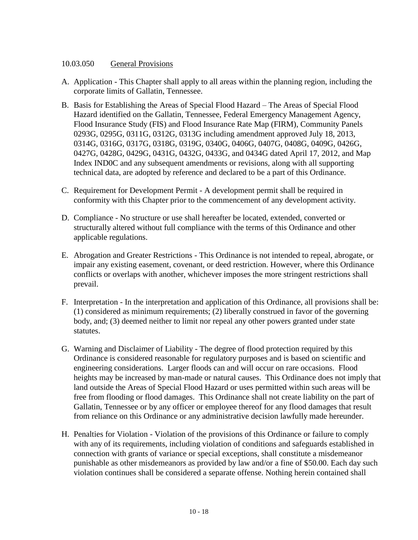#### 10.03.050 General Provisions

- A. Application This Chapter shall apply to all areas within the planning region, including the corporate limits of Gallatin, Tennessee.
- B. Basis for Establishing the Areas of Special Flood Hazard The Areas of Special Flood Hazard identified on the Gallatin, Tennessee, Federal Emergency Management Agency, Flood Insurance Study (FIS) and Flood Insurance Rate Map (FIRM), Community Panels 0293G, 0295G, 0311G, 0312G, 0313G including amendment approved July 18, 2013, 0314G, 0316G, 0317G, 0318G, 0319G, 0340G, 0406G, 0407G, 0408G, 0409G, 0426G, 0427G, 0428G, 0429G, 0431G, 0432G, 0433G, and 0434G dated April 17, 2012, and Map Index IND0C and any subsequent amendments or revisions, along with all supporting technical data, are adopted by reference and declared to be a part of this Ordinance.
- C. Requirement for Development Permit A development permit shall be required in conformity with this Chapter prior to the commencement of any development activity.
- D. Compliance No structure or use shall hereafter be located, extended, converted or structurally altered without full compliance with the terms of this Ordinance and other applicable regulations.
- E. Abrogation and Greater Restrictions This Ordinance is not intended to repeal, abrogate, or impair any existing easement, covenant, or deed restriction. However, where this Ordinance conflicts or overlaps with another, whichever imposes the more stringent restrictions shall prevail.
- F. Interpretation In the interpretation and application of this Ordinance, all provisions shall be: (1) considered as minimum requirements; (2) liberally construed in favor of the governing body, and; (3) deemed neither to limit nor repeal any other powers granted under state statutes.
- G. Warning and Disclaimer of Liability The degree of flood protection required by this Ordinance is considered reasonable for regulatory purposes and is based on scientific and engineering considerations. Larger floods can and will occur on rare occasions. Flood heights may be increased by man-made or natural causes. This Ordinance does not imply that land outside the Areas of Special Flood Hazard or uses permitted within such areas will be free from flooding or flood damages. This Ordinance shall not create liability on the part of Gallatin, Tennessee or by any officer or employee thereof for any flood damages that result from reliance on this Ordinance or any administrative decision lawfully made hereunder.
- H. Penalties for Violation Violation of the provisions of this Ordinance or failure to comply with any of its requirements, including violation of conditions and safeguards established in connection with grants of variance or special exceptions, shall constitute a misdemeanor punishable as other misdemeanors as provided by law and/or a fine of \$50.00. Each day such violation continues shall be considered a separate offense. Nothing herein contained shall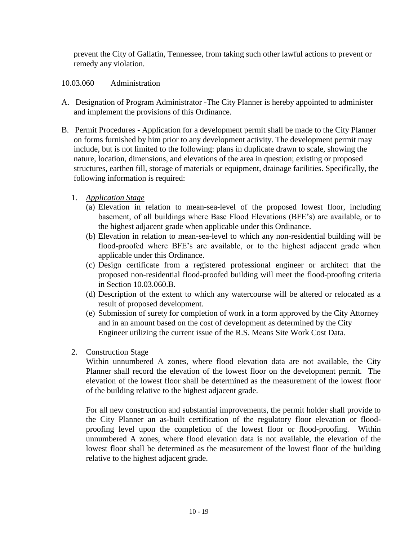prevent the City of Gallatin, Tennessee, from taking such other lawful actions to prevent or remedy any violation.

## 10.03.060 Administration

- A. Designation of Program Administrator -The City Planner is hereby appointed to administer and implement the provisions of this Ordinance.
- B. Permit Procedures Application for a development permit shall be made to the City Planner on forms furnished by him prior to any development activity. The development permit may include, but is not limited to the following: plans in duplicate drawn to scale, showing the nature, location, dimensions, and elevations of the area in question; existing or proposed structures, earthen fill, storage of materials or equipment, drainage facilities. Specifically, the following information is required:
	- 1. *Application Stage*
		- (a) Elevation in relation to mean-sea-level of the proposed lowest floor, including basement, of all buildings where Base Flood Elevations (BFE's) are available, or to the highest adjacent grade when applicable under this Ordinance.
		- (b) Elevation in relation to mean-sea-level to which any non-residential building will be flood-proofed where BFE's are available, or to the highest adjacent grade when applicable under this Ordinance.
		- (c) Design certificate from a registered professional engineer or architect that the proposed non-residential flood-proofed building will meet the flood-proofing criteria in Section 10.03.060.B.
		- (d) Description of the extent to which any watercourse will be altered or relocated as a result of proposed development.
		- (e) Submission of surety for completion of work in a form approved by the City Attorney and in an amount based on the cost of development as determined by the City Engineer utilizing the current issue of the R.S. Means Site Work Cost Data.
	- 2. Construction Stage

Within unnumbered A zones, where flood elevation data are not available, the City Planner shall record the elevation of the lowest floor on the development permit. The elevation of the lowest floor shall be determined as the measurement of the lowest floor of the building relative to the highest adjacent grade.

For all new construction and substantial improvements, the permit holder shall provide to the City Planner an as-built certification of the regulatory floor elevation or floodproofing level upon the completion of the lowest floor or flood-proofing. Within unnumbered A zones, where flood elevation data is not available, the elevation of the lowest floor shall be determined as the measurement of the lowest floor of the building relative to the highest adjacent grade.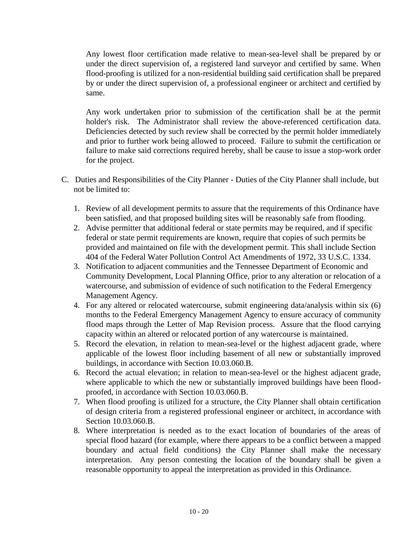Any lowest floor certification made relative to mean-sea-level shall be prepared by or under the direct supervision of, a registered land surveyor and certified by same. When flood-proofing is utilized for a non-residential building said certification shall be prepared by or under the direct supervision of, a professional engineer or architect and certified by same.

Any work undertaken prior to submission of the certification shall be at the permit holder's risk. The Administrator shall review the above-referenced certification data. Deficiencies detected by such review shall be corrected by the permit holder immediately and prior to further work being allowed to proceed. Failure to submit the certification or failure to make said corrections required hereby, shall be cause to issue a stop-work order for the project.

- C. Duties and Responsibilities of the City Planner Duties of the City Planner shall include, but not be limited to:
	- 1. Review of all development permits to assure that the requirements of this Ordinance have been satisfied, and that proposed building sites will be reasonably safe from flooding.
	- 2. Advise permitter that additional federal or state permits may be required, and if specific federal or state permit requirements are known, require that copies of such permits be provided and maintained on file with the development permit. This shall include Section 404 of the Federal Water Pollution Control Act Amendments of 1972, 33 U.S.C. 1334.
	- 3. Notification to adjacent communities and the Tennessee Department of Economic and Community Development, Local Planning Office, prior to any alteration or relocation of a watercourse, and submission of evidence of such notification to the Federal Emergency Management Agency.
	- 4. For any altered or relocated watercourse, submit engineering data/analysis within six (6) months to the Federal Emergency Management Agency to ensure accuracy of community flood maps through the Letter of Map Revision process. Assure that the flood carrying capacity within an altered or relocated portion of any watercourse is maintained.
	- 5. Record the elevation, in relation to mean-sea-level or the highest adjacent grade, where applicable of the lowest floor including basement of all new or substantially improved buildings, in accordance with Section 10.03.060.B.
	- 6. Record the actual elevation; in relation to mean-sea-level or the highest adjacent grade, where applicable to which the new or substantially improved buildings have been floodproofed, in accordance with Section 10.03.060.B.
	- 7. When flood proofing is utilized for a structure, the City Planner shall obtain certification of design criteria from a registered professional engineer or architect, in accordance with Section 10.03.060.B.
	- 8. Where interpretation is needed as to the exact location of boundaries of the areas of special flood hazard (for example, where there appears to be a conflict between a mapped boundary and actual field conditions) the City Planner shall make the necessary interpretation. Any person contesting the location of the boundary shall be given a reasonable opportunity to appeal the interpretation as provided in this Ordinance.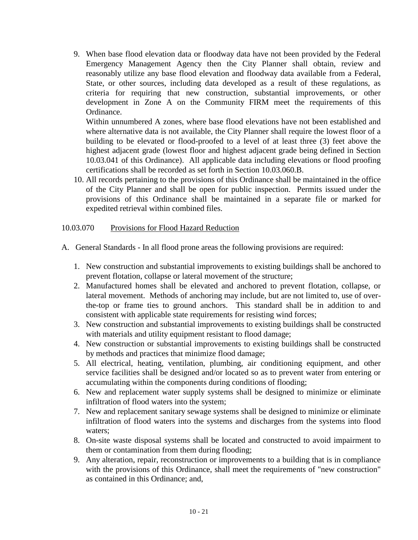9. When base flood elevation data or floodway data have not been provided by the Federal Emergency Management Agency then the City Planner shall obtain, review and reasonably utilize any base flood elevation and floodway data available from a Federal, State, or other sources, including data developed as a result of these regulations, as criteria for requiring that new construction, substantial improvements, or other development in Zone A on the Community FIRM meet the requirements of this Ordinance.

Within unnumbered A zones, where base flood elevations have not been established and where alternative data is not available, the City Planner shall require the lowest floor of a building to be elevated or flood-proofed to a level of at least three (3) feet above the highest adjacent grade (lowest floor and highest adjacent grade being defined in Section 10.03.041 of this Ordinance). All applicable data including elevations or flood proofing certifications shall be recorded as set forth in Section 10.03.060.B.

10. All records pertaining to the provisions of this Ordinance shall be maintained in the office of the City Planner and shall be open for public inspection. Permits issued under the provisions of this Ordinance shall be maintained in a separate file or marked for expedited retrieval within combined files.

#### 10.03.070 Provisions for Flood Hazard Reduction

- A. General Standards In all flood prone areas the following provisions are required:
	- 1. New construction and substantial improvements to existing buildings shall be anchored to prevent flotation, collapse or lateral movement of the structure;
	- 2. Manufactured homes shall be elevated and anchored to prevent flotation, collapse, or lateral movement. Methods of anchoring may include, but are not limited to, use of overthe-top or frame ties to ground anchors. This standard shall be in addition to and consistent with applicable state requirements for resisting wind forces;
	- 3. New construction and substantial improvements to existing buildings shall be constructed with materials and utility equipment resistant to flood damage;
	- 4. New construction or substantial improvements to existing buildings shall be constructed by methods and practices that minimize flood damage;
	- 5. All electrical, heating, ventilation, plumbing, air conditioning equipment, and other service facilities shall be designed and/or located so as to prevent water from entering or accumulating within the components during conditions of flooding;
	- 6. New and replacement water supply systems shall be designed to minimize or eliminate infiltration of flood waters into the system;
	- 7. New and replacement sanitary sewage systems shall be designed to minimize or eliminate infiltration of flood waters into the systems and discharges from the systems into flood waters;
	- 8. On-site waste disposal systems shall be located and constructed to avoid impairment to them or contamination from them during flooding;
	- 9. Any alteration, repair, reconstruction or improvements to a building that is in compliance with the provisions of this Ordinance, shall meet the requirements of "new construction" as contained in this Ordinance; and,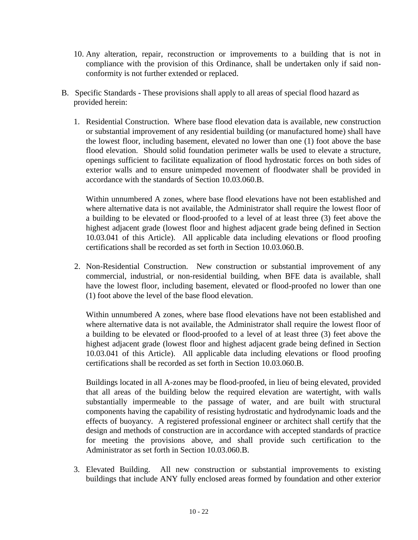- 10. Any alteration, repair, reconstruction or improvements to a building that is not in compliance with the provision of this Ordinance, shall be undertaken only if said nonconformity is not further extended or replaced.
- B. Specific Standards These provisions shall apply to all areas of special flood hazard as provided herein:
	- 1. Residential Construction. Where base flood elevation data is available, new construction or substantial improvement of any residential building (or manufactured home) shall have the lowest floor, including basement, elevated no lower than one (1) foot above the base flood elevation. Should solid foundation perimeter walls be used to elevate a structure, openings sufficient to facilitate equalization of flood hydrostatic forces on both sides of exterior walls and to ensure unimpeded movement of floodwater shall be provided in accordance with the standards of Section 10.03.060.B.

Within unnumbered A zones, where base flood elevations have not been established and where alternative data is not available, the Administrator shall require the lowest floor of a building to be elevated or flood-proofed to a level of at least three (3) feet above the highest adjacent grade (lowest floor and highest adjacent grade being defined in Section 10.03.041 of this Article). All applicable data including elevations or flood proofing certifications shall be recorded as set forth in Section 10.03.060.B.

2. Non-Residential Construction. New construction or substantial improvement of any commercial, industrial, or non-residential building, when BFE data is available, shall have the lowest floor, including basement, elevated or flood-proofed no lower than one (1) foot above the level of the base flood elevation.

Within unnumbered A zones, where base flood elevations have not been established and where alternative data is not available, the Administrator shall require the lowest floor of a building to be elevated or flood-proofed to a level of at least three (3) feet above the highest adjacent grade (lowest floor and highest adjacent grade being defined in Section 10.03.041 of this Article). All applicable data including elevations or flood proofing certifications shall be recorded as set forth in Section 10.03.060.B.

Buildings located in all A-zones may be flood-proofed, in lieu of being elevated, provided that all areas of the building below the required elevation are watertight, with walls substantially impermeable to the passage of water, and are built with structural components having the capability of resisting hydrostatic and hydrodynamic loads and the effects of buoyancy. A registered professional engineer or architect shall certify that the design and methods of construction are in accordance with accepted standards of practice for meeting the provisions above, and shall provide such certification to the Administrator as set forth in Section 10.03.060.B.

3. Elevated Building. All new construction or substantial improvements to existing buildings that include ANY fully enclosed areas formed by foundation and other exterior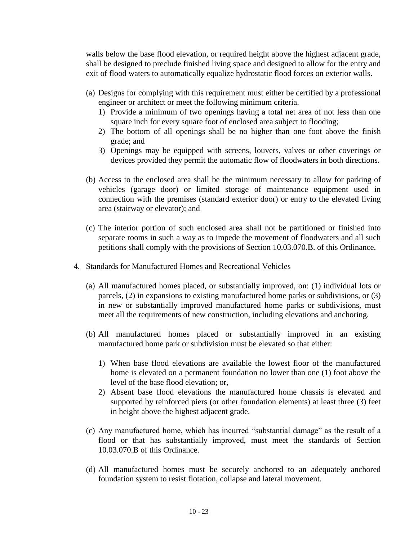walls below the base flood elevation, or required height above the highest adjacent grade, shall be designed to preclude finished living space and designed to allow for the entry and exit of flood waters to automatically equalize hydrostatic flood forces on exterior walls.

- (a) Designs for complying with this requirement must either be certified by a professional engineer or architect or meet the following minimum criteria.
	- 1) Provide a minimum of two openings having a total net area of not less than one square inch for every square foot of enclosed area subject to flooding;
	- 2) The bottom of all openings shall be no higher than one foot above the finish grade; and
	- 3) Openings may be equipped with screens, louvers, valves or other coverings or devices provided they permit the automatic flow of floodwaters in both directions.
- (b) Access to the enclosed area shall be the minimum necessary to allow for parking of vehicles (garage door) or limited storage of maintenance equipment used in connection with the premises (standard exterior door) or entry to the elevated living area (stairway or elevator); and
- (c) The interior portion of such enclosed area shall not be partitioned or finished into separate rooms in such a way as to impede the movement of floodwaters and all such petitions shall comply with the provisions of Section 10.03.070.B. of this Ordinance.
- 4. Standards for Manufactured Homes and Recreational Vehicles
	- (a) All manufactured homes placed, or substantially improved, on: (1) individual lots or parcels, (2) in expansions to existing manufactured home parks or subdivisions, or (3) in new or substantially improved manufactured home parks or subdivisions, must meet all the requirements of new construction, including elevations and anchoring.
	- (b) All manufactured homes placed or substantially improved in an existing manufactured home park or subdivision must be elevated so that either:
		- 1) When base flood elevations are available the lowest floor of the manufactured home is elevated on a permanent foundation no lower than one (1) foot above the level of the base flood elevation; or,
		- 2) Absent base flood elevations the manufactured home chassis is elevated and supported by reinforced piers (or other foundation elements) at least three (3) feet in height above the highest adjacent grade.
	- (c) Any manufactured home, which has incurred "substantial damage" as the result of a flood or that has substantially improved, must meet the standards of Section 10.03.070.B of this Ordinance.
	- (d) All manufactured homes must be securely anchored to an adequately anchored foundation system to resist flotation, collapse and lateral movement.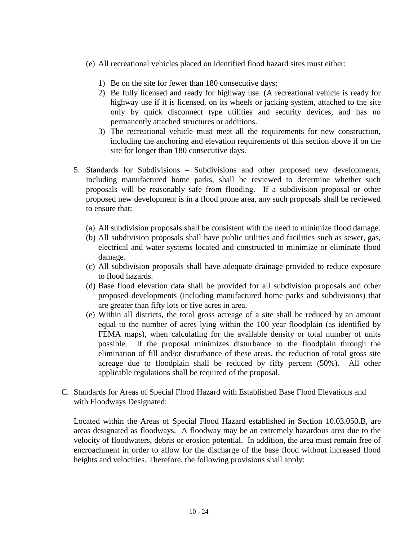- (e) All recreational vehicles placed on identified flood hazard sites must either:
	- 1) Be on the site for fewer than 180 consecutive days;
	- 2) Be fully licensed and ready for highway use. (A recreational vehicle is ready for highway use if it is licensed, on its wheels or jacking system, attached to the site only by quick disconnect type utilities and security devices, and has no permanently attached structures or additions.
	- 3) The recreational vehicle must meet all the requirements for new construction, including the anchoring and elevation requirements of this section above if on the site for longer than 180 consecutive days.
- 5. Standards for Subdivisions Subdivisions and other proposed new developments, including manufactured home parks, shall be reviewed to determine whether such proposals will be reasonably safe from flooding. If a subdivision proposal or other proposed new development is in a flood prone area, any such proposals shall be reviewed to ensure that:
	- (a) All subdivision proposals shall be consistent with the need to minimize flood damage.
	- (b) All subdivision proposals shall have public utilities and facilities such as sewer, gas, electrical and water systems located and constructed to minimize or eliminate flood damage.
	- (c) All subdivision proposals shall have adequate drainage provided to reduce exposure to flood hazards.
	- (d) Base flood elevation data shall be provided for all subdivision proposals and other proposed developments (including manufactured home parks and subdivisions) that are greater than fifty lots or five acres in area.
	- (e) Within all districts, the total gross acreage of a site shall be reduced by an amount equal to the number of acres lying within the 100 year floodplain (as identified by FEMA maps), when calculating for the available density or total number of units possible. If the proposal minimizes disturbance to the floodplain through the elimination of fill and/or disturbance of these areas, the reduction of total gross site acreage due to floodplain shall be reduced by fifty percent (50%). All other applicable regulations shall be required of the proposal.
- C. Standards for Areas of Special Flood Hazard with Established Base Flood Elevations and with Floodways Designated:

Located within the Areas of Special Flood Hazard established in Section 10.03.050.B, are areas designated as floodways. A floodway may be an extremely hazardous area due to the velocity of floodwaters, debris or erosion potential. In addition, the area must remain free of encroachment in order to allow for the discharge of the base flood without increased flood heights and velocities. Therefore, the following provisions shall apply: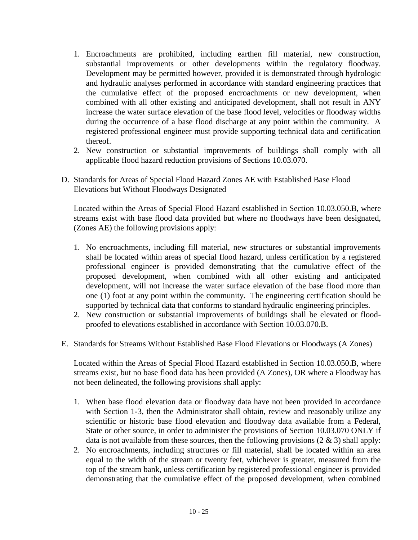- 1. Encroachments are prohibited, including earthen fill material, new construction, substantial improvements or other developments within the regulatory floodway. Development may be permitted however, provided it is demonstrated through hydrologic and hydraulic analyses performed in accordance with standard engineering practices that the cumulative effect of the proposed encroachments or new development, when combined with all other existing and anticipated development, shall not result in ANY increase the water surface elevation of the base flood level, velocities or floodway widths during the occurrence of a base flood discharge at any point within the community. A registered professional engineer must provide supporting technical data and certification thereof.
- 2. New construction or substantial improvements of buildings shall comply with all applicable flood hazard reduction provisions of Sections 10.03.070.
- D. Standards for Areas of Special Flood Hazard Zones AE with Established Base Flood Elevations but Without Floodways Designated

Located within the Areas of Special Flood Hazard established in Section 10.03.050.B, where streams exist with base flood data provided but where no floodways have been designated, (Zones AE) the following provisions apply:

- 1. No encroachments, including fill material, new structures or substantial improvements shall be located within areas of special flood hazard, unless certification by a registered professional engineer is provided demonstrating that the cumulative effect of the proposed development, when combined with all other existing and anticipated development, will not increase the water surface elevation of the base flood more than one (1) foot at any point within the community. The engineering certification should be supported by technical data that conforms to standard hydraulic engineering principles.
- 2. New construction or substantial improvements of buildings shall be elevated or floodproofed to elevations established in accordance with Section 10.03.070.B.
- E. Standards for Streams Without Established Base Flood Elevations or Floodways (A Zones)

Located within the Areas of Special Flood Hazard established in Section 10.03.050.B, where streams exist, but no base flood data has been provided (A Zones), OR where a Floodway has not been delineated, the following provisions shall apply:

- 1. When base flood elevation data or floodway data have not been provided in accordance with Section 1-3, then the Administrator shall obtain, review and reasonably utilize any scientific or historic base flood elevation and floodway data available from a Federal, State or other source, in order to administer the provisions of Section 10.03.070 ONLY if data is not available from these sources, then the following provisions  $(2 \& 3)$  shall apply:
- 2. No encroachments, including structures or fill material, shall be located within an area equal to the width of the stream or twenty feet, whichever is greater, measured from the top of the stream bank, unless certification by registered professional engineer is provided demonstrating that the cumulative effect of the proposed development, when combined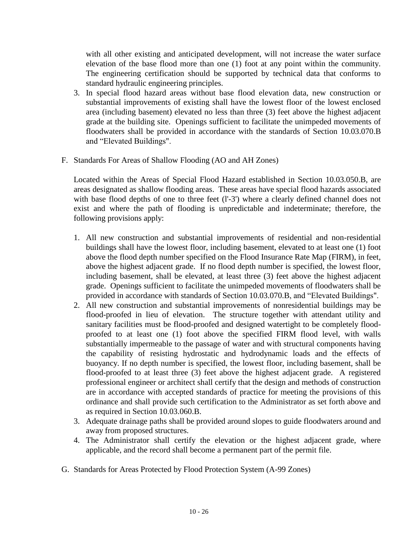with all other existing and anticipated development, will not increase the water surface elevation of the base flood more than one (1) foot at any point within the community. The engineering certification should be supported by technical data that conforms to standard hydraulic engineering principles.

- 3. In special flood hazard areas without base flood elevation data, new construction or substantial improvements of existing shall have the lowest floor of the lowest enclosed area (including basement) elevated no less than three (3) feet above the highest adjacent grade at the building site. Openings sufficient to facilitate the unimpeded movements of floodwaters shall be provided in accordance with the standards of Section 10.03.070.B and "Elevated Buildings".
- F. Standards For Areas of Shallow Flooding (AO and AH Zones)

Located within the Areas of Special Flood Hazard established in Section 10.03.050.B, are areas designated as shallow flooding areas. These areas have special flood hazards associated with base flood depths of one to three feet (l'-3') where a clearly defined channel does not exist and where the path of flooding is unpredictable and indeterminate; therefore, the following provisions apply:

- 1. All new construction and substantial improvements of residential and non-residential buildings shall have the lowest floor, including basement, elevated to at least one (1) foot above the flood depth number specified on the Flood Insurance Rate Map (FIRM), in feet, above the highest adjacent grade. If no flood depth number is specified, the lowest floor, including basement, shall be elevated, at least three (3) feet above the highest adjacent grade. Openings sufficient to facilitate the unimpeded movements of floodwaters shall be provided in accordance with standards of Section 10.03.070.B, and "Elevated Buildings".
- 2. All new construction and substantial improvements of nonresidential buildings may be flood-proofed in lieu of elevation. The structure together with attendant utility and sanitary facilities must be flood-proofed and designed watertight to be completely floodproofed to at least one (1) foot above the specified FIRM flood level, with walls substantially impermeable to the passage of water and with structural components having the capability of resisting hydrostatic and hydrodynamic loads and the effects of buoyancy. If no depth number is specified, the lowest floor, including basement, shall be flood-proofed to at least three (3) feet above the highest adjacent grade. A registered professional engineer or architect shall certify that the design and methods of construction are in accordance with accepted standards of practice for meeting the provisions of this ordinance and shall provide such certification to the Administrator as set forth above and as required in Section 10.03.060.B.
- 3. Adequate drainage paths shall be provided around slopes to guide floodwaters around and away from proposed structures.
- 4. The Administrator shall certify the elevation or the highest adjacent grade, where applicable, and the record shall become a permanent part of the permit file.
- G. Standards for Areas Protected by Flood Protection System (A-99 Zones)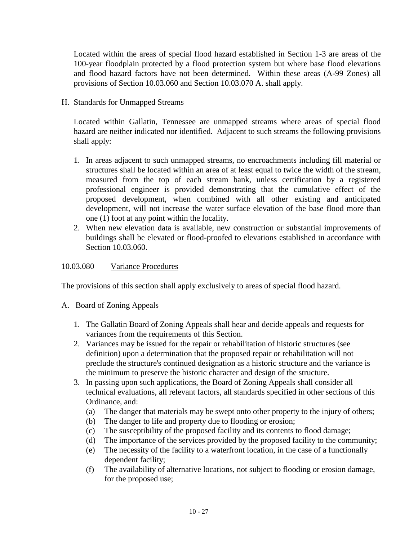Located within the areas of special flood hazard established in Section 1-3 are areas of the 100-year floodplain protected by a flood protection system but where base flood elevations and flood hazard factors have not been determined. Within these areas (A-99 Zones) all provisions of Section 10.03.060 and Section 10.03.070 A. shall apply.

H. Standards for Unmapped Streams

Located within Gallatin, Tennessee are unmapped streams where areas of special flood hazard are neither indicated nor identified. Adjacent to such streams the following provisions shall apply:

- 1. In areas adjacent to such unmapped streams, no encroachments including fill material or structures shall be located within an area of at least equal to twice the width of the stream, measured from the top of each stream bank, unless certification by a registered professional engineer is provided demonstrating that the cumulative effect of the proposed development, when combined with all other existing and anticipated development, will not increase the water surface elevation of the base flood more than one (1) foot at any point within the locality.
- 2. When new elevation data is available, new construction or substantial improvements of buildings shall be elevated or flood-proofed to elevations established in accordance with Section 10.03.060.

#### 10.03.080 Variance Procedures

The provisions of this section shall apply exclusively to areas of special flood hazard.

- A. Board of Zoning Appeals
	- 1. The Gallatin Board of Zoning Appeals shall hear and decide appeals and requests for variances from the requirements of this Section.
	- 2. Variances may be issued for the repair or rehabilitation of historic structures (see definition) upon a determination that the proposed repair or rehabilitation will not preclude the structure's continued designation as a historic structure and the variance is the minimum to preserve the historic character and design of the structure.
	- 3. In passing upon such applications, the Board of Zoning Appeals shall consider all technical evaluations, all relevant factors, all standards specified in other sections of this Ordinance, and:
		- (a) The danger that materials may be swept onto other property to the injury of others;
		- (b) The danger to life and property due to flooding or erosion;
		- (c) The susceptibility of the proposed facility and its contents to flood damage;
		- (d) The importance of the services provided by the proposed facility to the community;
		- (e) The necessity of the facility to a waterfront location, in the case of a functionally dependent facility;
		- (f) The availability of alternative locations, not subject to flooding or erosion damage, for the proposed use;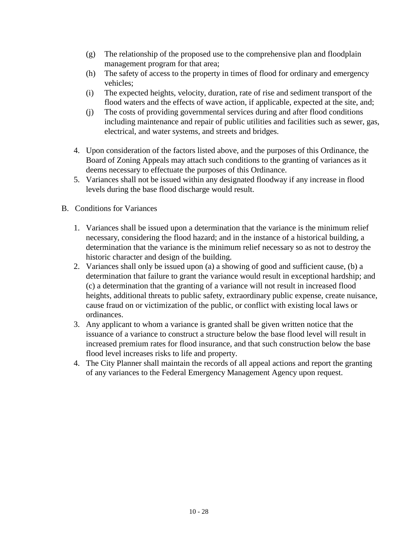- (g) The relationship of the proposed use to the comprehensive plan and floodplain management program for that area;
- (h) The safety of access to the property in times of flood for ordinary and emergency vehicles;
- (i) The expected heights, velocity, duration, rate of rise and sediment transport of the flood waters and the effects of wave action, if applicable, expected at the site, and;
- (j) The costs of providing governmental services during and after flood conditions including maintenance and repair of public utilities and facilities such as sewer, gas, electrical, and water systems, and streets and bridges.
- 4. Upon consideration of the factors listed above, and the purposes of this Ordinance, the Board of Zoning Appeals may attach such conditions to the granting of variances as it deems necessary to effectuate the purposes of this Ordinance.
- 5. Variances shall not be issued within any designated floodway if any increase in flood levels during the base flood discharge would result.
- B. Conditions for Variances
	- 1. Variances shall be issued upon a determination that the variance is the minimum relief necessary, considering the flood hazard; and in the instance of a historical building, a determination that the variance is the minimum relief necessary so as not to destroy the historic character and design of the building.
	- 2. Variances shall only be issued upon (a) a showing of good and sufficient cause, (b) a determination that failure to grant the variance would result in exceptional hardship; and (c) a determination that the granting of a variance will not result in increased flood heights, additional threats to public safety, extraordinary public expense, create nuisance, cause fraud on or victimization of the public, or conflict with existing local laws or ordinances.
	- 3. Any applicant to whom a variance is granted shall be given written notice that the issuance of a variance to construct a structure below the base flood level will result in increased premium rates for flood insurance, and that such construction below the base flood level increases risks to life and property.
	- 4. The City Planner shall maintain the records of all appeal actions and report the granting of any variances to the Federal Emergency Management Agency upon request.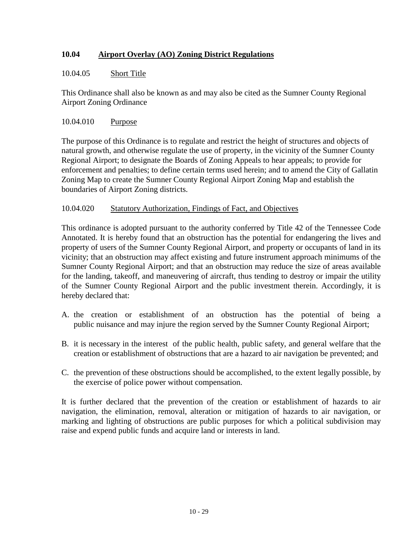# **10.04 Airport Overlay (AO) Zoning District Regulations**

#### 10.04.05 Short Title

This Ordinance shall also be known as and may also be cited as the Sumner County Regional Airport Zoning Ordinance

#### 10.04.010 Purpose

The purpose of this Ordinance is to regulate and restrict the height of structures and objects of natural growth, and otherwise regulate the use of property, in the vicinity of the Sumner County Regional Airport; to designate the Boards of Zoning Appeals to hear appeals; to provide for enforcement and penalties; to define certain terms used herein; and to amend the City of Gallatin Zoning Map to create the Sumner County Regional Airport Zoning Map and establish the boundaries of Airport Zoning districts.

#### 10.04.020 Statutory Authorization, Findings of Fact, and Objectives

This ordinance is adopted pursuant to the authority conferred by Title 42 of the Tennessee Code Annotated. It is hereby found that an obstruction has the potential for endangering the lives and property of users of the Sumner County Regional Airport, and property or occupants of land in its vicinity; that an obstruction may affect existing and future instrument approach minimums of the Sumner County Regional Airport; and that an obstruction may reduce the size of areas available for the landing, takeoff, and maneuvering of aircraft, thus tending to destroy or impair the utility of the Sumner County Regional Airport and the public investment therein. Accordingly, it is hereby declared that:

- A. the creation or establishment of an obstruction has the potential of being a public nuisance and may injure the region served by the Sumner County Regional Airport;
- B. it is necessary in the interest of the public health, public safety, and general welfare that the creation or establishment of obstructions that are a hazard to air navigation be prevented; and
- C. the prevention of these obstructions should be accomplished, to the extent legally possible, by the exercise of police power without compensation.

It is further declared that the prevention of the creation or establishment of hazards to air navigation, the elimination, removal, alteration or mitigation of hazards to air navigation, or marking and lighting of obstructions are public purposes for which a political subdivision may raise and expend public funds and acquire land or interests in land.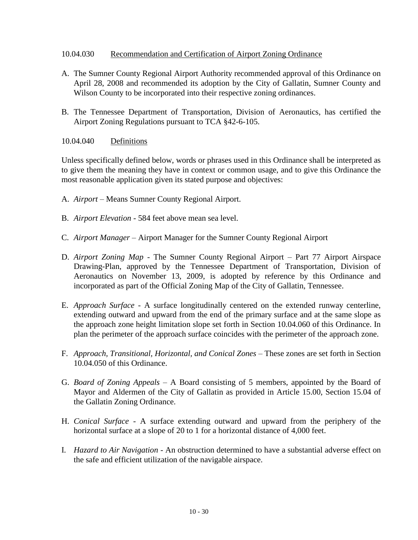#### 10.04.030 Recommendation and Certification of Airport Zoning Ordinance

- A. The Sumner County Regional Airport Authority recommended approval of this Ordinance on April 28, 2008 and recommended its adoption by the City of Gallatin, Sumner County and Wilson County to be incorporated into their respective zoning ordinances.
- B. The Tennessee Department of Transportation, Division of Aeronautics, has certified the Airport Zoning Regulations pursuant to TCA §42-6-105.
- 10.04.040 Definitions

Unless specifically defined below, words or phrases used in this Ordinance shall be interpreted as to give them the meaning they have in context or common usage, and to give this Ordinance the most reasonable application given its stated purpose and objectives:

- A. *Airport* Means Sumner County Regional Airport.
- B. *Airport Elevation* 584 feet above mean sea level.
- C. *Airport Manager* Airport Manager for the Sumner County Regional Airport
- D. *Airport Zoning Map* The Sumner County Regional Airport Part 77 Airport Airspace Drawing-Plan, approved by the Tennessee Department of Transportation, Division of Aeronautics on November 13, 2009, is adopted by reference by this Ordinance and incorporated as part of the Official Zoning Map of the City of Gallatin, Tennessee.
- E. *Approach Surface* A surface longitudinally centered on the extended runway centerline, extending outward and upward from the end of the primary surface and at the same slope as the approach zone height limitation slope set forth in Section 10.04.060 of this Ordinance. In plan the perimeter of the approach surface coincides with the perimeter of the approach zone.
- F. *Approach, Transitional, Horizontal, and Conical Zones* These zones are set forth in Section 10.04.050 of this Ordinance.
- G. *Board of Zoning Appeals* A Board consisting of 5 members, appointed by the Board of Mayor and Aldermen of the City of Gallatin as provided in Article 15.00, Section 15.04 of the Gallatin Zoning Ordinance.
- H. *Conical Surface* A surface extending outward and upward from the periphery of the horizontal surface at a slope of 20 to 1 for a horizontal distance of 4,000 feet.
- I. *Hazard to Air Navigation* An obstruction determined to have a substantial adverse effect on the safe and efficient utilization of the navigable airspace.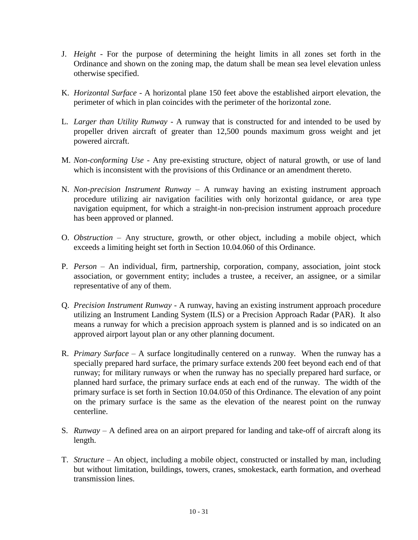- J. *Height* For the purpose of determining the height limits in all zones set forth in the Ordinance and shown on the zoning map, the datum shall be mean sea level elevation unless otherwise specified.
- K. *Horizontal Surface* A horizontal plane 150 feet above the established airport elevation, the perimeter of which in plan coincides with the perimeter of the horizontal zone.
- L. *Larger than Utility Runway* A runway that is constructed for and intended to be used by propeller driven aircraft of greater than 12,500 pounds maximum gross weight and jet powered aircraft.
- M. *Non-conforming Use* Any pre-existing structure, object of natural growth, or use of land which is inconsistent with the provisions of this Ordinance or an amendment thereto.
- N. *Non-precision Instrument Runway*  A runway having an existing instrument approach procedure utilizing air navigation facilities with only horizontal guidance, or area type navigation equipment, for which a straight-in non-precision instrument approach procedure has been approved or planned.
- O. *Obstruction* Any structure, growth, or other object, including a mobile object, which exceeds a limiting height set forth in Section 10.04.060 of this Ordinance.
- P. *Person* An individual, firm, partnership, corporation, company, association, joint stock association, or government entity; includes a trustee, a receiver, an assignee, or a similar representative of any of them.
- Q. *Precision Instrument Runway* A runway, having an existing instrument approach procedure utilizing an Instrument Landing System (ILS) or a Precision Approach Radar (PAR). It also means a runway for which a precision approach system is planned and is so indicated on an approved airport layout plan or any other planning document.
- R. *Primary Surface* A surface longitudinally centered on a runway. When the runway has a specially prepared hard surface, the primary surface extends 200 feet beyond each end of that runway; for military runways or when the runway has no specially prepared hard surface, or planned hard surface, the primary surface ends at each end of the runway. The width of the primary surface is set forth in Section 10.04.050 of this Ordinance. The elevation of any point on the primary surface is the same as the elevation of the nearest point on the runway centerline.
- S. *Runway* A defined area on an airport prepared for landing and take-off of aircraft along its length.
- T. *Structure* An object, including a mobile object, constructed or installed by man, including but without limitation, buildings, towers, cranes, smokestack, earth formation, and overhead transmission lines.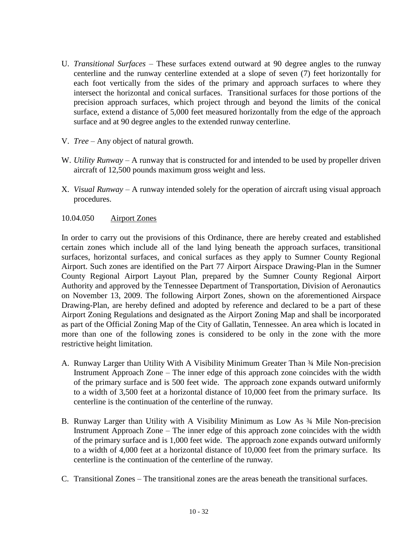- U. *Transitional Surfaces* These surfaces extend outward at 90 degree angles to the runway centerline and the runway centerline extended at a slope of seven (7) feet horizontally for each foot vertically from the sides of the primary and approach surfaces to where they intersect the horizontal and conical surfaces. Transitional surfaces for those portions of the precision approach surfaces, which project through and beyond the limits of the conical surface, extend a distance of 5,000 feet measured horizontally from the edge of the approach surface and at 90 degree angles to the extended runway centerline.
- V. *Tree* Any object of natural growth.
- W. *Utility Runway* A runway that is constructed for and intended to be used by propeller driven aircraft of 12,500 pounds maximum gross weight and less.
- X. *Visual Runway* A runway intended solely for the operation of aircraft using visual approach procedures.

#### 10.04.050 Airport Zones

In order to carry out the provisions of this Ordinance, there are hereby created and established certain zones which include all of the land lying beneath the approach surfaces, transitional surfaces, horizontal surfaces, and conical surfaces as they apply to Sumner County Regional Airport. Such zones are identified on the Part 77 Airport Airspace Drawing-Plan in the Sumner County Regional Airport Layout Plan, prepared by the Sumner County Regional Airport Authority and approved by the Tennessee Department of Transportation, Division of Aeronautics on November 13, 2009. The following Airport Zones, shown on the aforementioned Airspace Drawing-Plan, are hereby defined and adopted by reference and declared to be a part of these Airport Zoning Regulations and designated as the Airport Zoning Map and shall be incorporated as part of the Official Zoning Map of the City of Gallatin, Tennessee. An area which is located in more than one of the following zones is considered to be only in the zone with the more restrictive height limitation.

- A. Runway Larger than Utility With A Visibility Minimum Greater Than ¾ Mile Non-precision Instrument Approach Zone – The inner edge of this approach zone coincides with the width of the primary surface and is 500 feet wide. The approach zone expands outward uniformly to a width of 3,500 feet at a horizontal distance of 10,000 feet from the primary surface. Its centerline is the continuation of the centerline of the runway.
- B. Runway Larger than Utility with A Visibility Minimum as Low As ¾ Mile Non-precision Instrument Approach Zone – The inner edge of this approach zone coincides with the width of the primary surface and is 1,000 feet wide. The approach zone expands outward uniformly to a width of 4,000 feet at a horizontal distance of 10,000 feet from the primary surface. Its centerline is the continuation of the centerline of the runway.
- C. Transitional Zones The transitional zones are the areas beneath the transitional surfaces.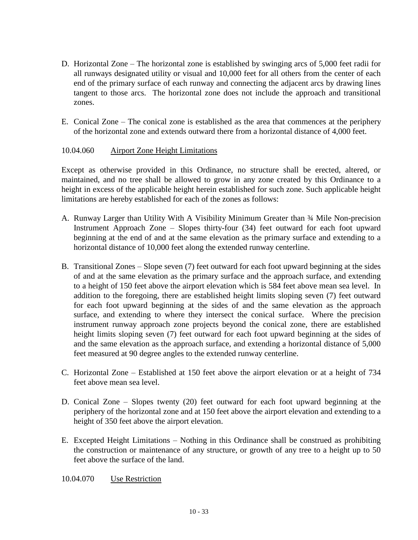- D. Horizontal Zone The horizontal zone is established by swinging arcs of 5,000 feet radii for all runways designated utility or visual and 10,000 feet for all others from the center of each end of the primary surface of each runway and connecting the adjacent arcs by drawing lines tangent to those arcs. The horizontal zone does not include the approach and transitional zones.
- E. Conical Zone The conical zone is established as the area that commences at the periphery of the horizontal zone and extends outward there from a horizontal distance of 4,000 feet.

#### 10.04.060 Airport Zone Height Limitations

Except as otherwise provided in this Ordinance, no structure shall be erected, altered, or maintained, and no tree shall be allowed to grow in any zone created by this Ordinance to a height in excess of the applicable height herein established for such zone. Such applicable height limitations are hereby established for each of the zones as follows:

- A. Runway Larger than Utility With A Visibility Minimum Greater than ¾ Mile Non-precision Instrument Approach Zone – Slopes thirty-four (34) feet outward for each foot upward beginning at the end of and at the same elevation as the primary surface and extending to a horizontal distance of 10,000 feet along the extended runway centerline.
- B. Transitional Zones Slope seven (7) feet outward for each foot upward beginning at the sides of and at the same elevation as the primary surface and the approach surface, and extending to a height of 150 feet above the airport elevation which is 584 feet above mean sea level. In addition to the foregoing, there are established height limits sloping seven (7) feet outward for each foot upward beginning at the sides of and the same elevation as the approach surface, and extending to where they intersect the conical surface. Where the precision instrument runway approach zone projects beyond the conical zone, there are established height limits sloping seven (7) feet outward for each foot upward beginning at the sides of and the same elevation as the approach surface, and extending a horizontal distance of 5,000 feet measured at 90 degree angles to the extended runway centerline.
- C. Horizontal Zone Established at 150 feet above the airport elevation or at a height of 734 feet above mean sea level.
- D. Conical Zone Slopes twenty (20) feet outward for each foot upward beginning at the periphery of the horizontal zone and at 150 feet above the airport elevation and extending to a height of 350 feet above the airport elevation.
- E. Excepted Height Limitations Nothing in this Ordinance shall be construed as prohibiting the construction or maintenance of any structure, or growth of any tree to a height up to 50 feet above the surface of the land.

#### 10.04.070 Use Restriction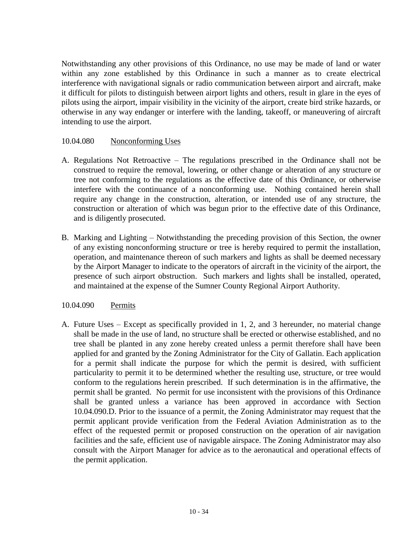Notwithstanding any other provisions of this Ordinance, no use may be made of land or water within any zone established by this Ordinance in such a manner as to create electrical interference with navigational signals or radio communication between airport and aircraft, make it difficult for pilots to distinguish between airport lights and others, result in glare in the eyes of pilots using the airport, impair visibility in the vicinity of the airport, create bird strike hazards, or otherwise in any way endanger or interfere with the landing, takeoff, or maneuvering of aircraft intending to use the airport.

#### 10.04.080 Nonconforming Uses

- A. Regulations Not Retroactive The regulations prescribed in the Ordinance shall not be construed to require the removal, lowering, or other change or alteration of any structure or tree not conforming to the regulations as the effective date of this Ordinance, or otherwise interfere with the continuance of a nonconforming use. Nothing contained herein shall require any change in the construction, alteration, or intended use of any structure, the construction or alteration of which was begun prior to the effective date of this Ordinance, and is diligently prosecuted.
- B. Marking and Lighting Notwithstanding the preceding provision of this Section, the owner of any existing nonconforming structure or tree is hereby required to permit the installation, operation, and maintenance thereon of such markers and lights as shall be deemed necessary by the Airport Manager to indicate to the operators of aircraft in the vicinity of the airport, the presence of such airport obstruction. Such markers and lights shall be installed, operated, and maintained at the expense of the Sumner County Regional Airport Authority.

#### 10.04.090 Permits

A. Future Uses – Except as specifically provided in 1, 2, and 3 hereunder, no material change shall be made in the use of land, no structure shall be erected or otherwise established, and no tree shall be planted in any zone hereby created unless a permit therefore shall have been applied for and granted by the Zoning Administrator for the City of Gallatin. Each application for a permit shall indicate the purpose for which the permit is desired, with sufficient particularity to permit it to be determined whether the resulting use, structure, or tree would conform to the regulations herein prescribed. If such determination is in the affirmative, the permit shall be granted. No permit for use inconsistent with the provisions of this Ordinance shall be granted unless a variance has been approved in accordance with Section 10.04.090.D. Prior to the issuance of a permit, the Zoning Administrator may request that the permit applicant provide verification from the Federal Aviation Administration as to the effect of the requested permit or proposed construction on the operation of air navigation facilities and the safe, efficient use of navigable airspace. The Zoning Administrator may also consult with the Airport Manager for advice as to the aeronautical and operational effects of the permit application.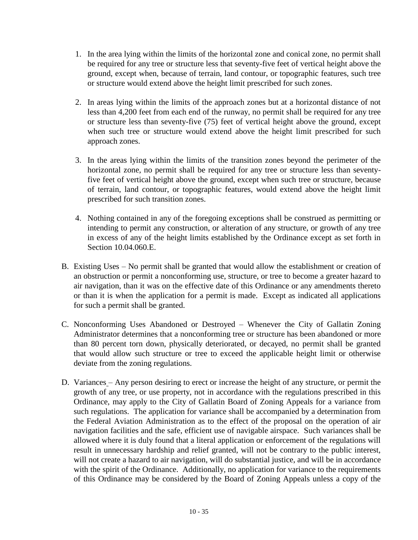- 1. In the area lying within the limits of the horizontal zone and conical zone, no permit shall be required for any tree or structure less that seventy-five feet of vertical height above the ground, except when, because of terrain, land contour, or topographic features, such tree or structure would extend above the height limit prescribed for such zones.
- 2. In areas lying within the limits of the approach zones but at a horizontal distance of not less than 4,200 feet from each end of the runway, no permit shall be required for any tree or structure less than seventy-five (75) feet of vertical height above the ground, except when such tree or structure would extend above the height limit prescribed for such approach zones.
- 3. In the areas lying within the limits of the transition zones beyond the perimeter of the horizontal zone, no permit shall be required for any tree or structure less than seventyfive feet of vertical height above the ground, except when such tree or structure, because of terrain, land contour, or topographic features, would extend above the height limit prescribed for such transition zones.
- 4. Nothing contained in any of the foregoing exceptions shall be construed as permitting or intending to permit any construction, or alteration of any structure, or growth of any tree in excess of any of the height limits established by the Ordinance except as set forth in Section 10.04.060.E.
- B. Existing Uses No permit shall be granted that would allow the establishment or creation of an obstruction or permit a nonconforming use, structure, or tree to become a greater hazard to air navigation, than it was on the effective date of this Ordinance or any amendments thereto or than it is when the application for a permit is made. Except as indicated all applications for such a permit shall be granted.
- C. Nonconforming Uses Abandoned or Destroyed Whenever the City of Gallatin Zoning Administrator determines that a nonconforming tree or structure has been abandoned or more than 80 percent torn down, physically deteriorated, or decayed, no permit shall be granted that would allow such structure or tree to exceed the applicable height limit or otherwise deviate from the zoning regulations.
- D. Variances Any person desiring to erect or increase the height of any structure, or permit the growth of any tree, or use property, not in accordance with the regulations prescribed in this Ordinance, may apply to the City of Gallatin Board of Zoning Appeals for a variance from such regulations. The application for variance shall be accompanied by a determination from the Federal Aviation Administration as to the effect of the proposal on the operation of air navigation facilities and the safe, efficient use of navigable airspace. Such variances shall be allowed where it is duly found that a literal application or enforcement of the regulations will result in unnecessary hardship and relief granted, will not be contrary to the public interest, will not create a hazard to air navigation, will do substantial justice, and will be in accordance with the spirit of the Ordinance. Additionally, no application for variance to the requirements of this Ordinance may be considered by the Board of Zoning Appeals unless a copy of the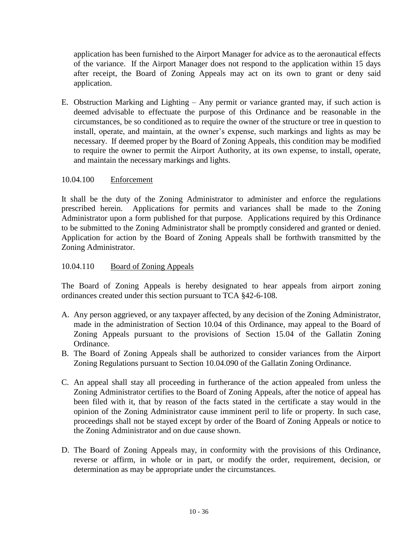application has been furnished to the Airport Manager for advice as to the aeronautical effects of the variance. If the Airport Manager does not respond to the application within 15 days after receipt, the Board of Zoning Appeals may act on its own to grant or deny said application.

E. Obstruction Marking and Lighting – Any permit or variance granted may, if such action is deemed advisable to effectuate the purpose of this Ordinance and be reasonable in the circumstances, be so conditioned as to require the owner of the structure or tree in question to install, operate, and maintain, at the owner's expense, such markings and lights as may be necessary. If deemed proper by the Board of Zoning Appeals, this condition may be modified to require the owner to permit the Airport Authority, at its own expense, to install, operate, and maintain the necessary markings and lights.

## 10.04.100 Enforcement

It shall be the duty of the Zoning Administrator to administer and enforce the regulations prescribed herein. Applications for permits and variances shall be made to the Zoning Administrator upon a form published for that purpose. Applications required by this Ordinance to be submitted to the Zoning Administrator shall be promptly considered and granted or denied. Application for action by the Board of Zoning Appeals shall be forthwith transmitted by the Zoning Administrator.

## 10.04.110 Board of Zoning Appeals

The Board of Zoning Appeals is hereby designated to hear appeals from airport zoning ordinances created under this section pursuant to TCA §42-6-108.

- A. Any person aggrieved, or any taxpayer affected, by any decision of the Zoning Administrator, made in the administration of Section 10.04 of this Ordinance, may appeal to the Board of Zoning Appeals pursuant to the provisions of Section 15.04 of the Gallatin Zoning Ordinance.
- B. The Board of Zoning Appeals shall be authorized to consider variances from the Airport Zoning Regulations pursuant to Section 10.04.090 of the Gallatin Zoning Ordinance.
- C. An appeal shall stay all proceeding in furtherance of the action appealed from unless the Zoning Administrator certifies to the Board of Zoning Appeals, after the notice of appeal has been filed with it, that by reason of the facts stated in the certificate a stay would in the opinion of the Zoning Administrator cause imminent peril to life or property. In such case, proceedings shall not be stayed except by order of the Board of Zoning Appeals or notice to the Zoning Administrator and on due cause shown.
- D. The Board of Zoning Appeals may, in conformity with the provisions of this Ordinance, reverse or affirm, in whole or in part, or modify the order, requirement, decision, or determination as may be appropriate under the circumstances.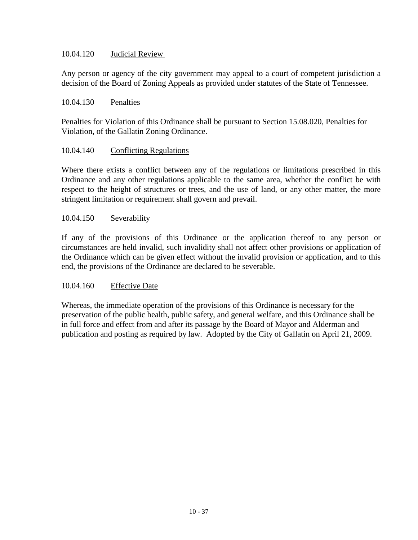#### 10.04.120 Judicial Review

Any person or agency of the city government may appeal to a court of competent jurisdiction a decision of the Board of Zoning Appeals as provided under statutes of the State of Tennessee.

#### 10.04.130 Penalties

Penalties for Violation of this Ordinance shall be pursuant to Section 15.08.020, Penalties for Violation, of the Gallatin Zoning Ordinance.

#### 10.04.140 Conflicting Regulations

Where there exists a conflict between any of the regulations or limitations prescribed in this Ordinance and any other regulations applicable to the same area, whether the conflict be with respect to the height of structures or trees, and the use of land, or any other matter, the more stringent limitation or requirement shall govern and prevail.

#### 10.04.150 Severability

If any of the provisions of this Ordinance or the application thereof to any person or circumstances are held invalid, such invalidity shall not affect other provisions or application of the Ordinance which can be given effect without the invalid provision or application, and to this end, the provisions of the Ordinance are declared to be severable.

#### 10.04.160 Effective Date

Whereas, the immediate operation of the provisions of this Ordinance is necessary for the preservation of the public health, public safety, and general welfare, and this Ordinance shall be in full force and effect from and after its passage by the Board of Mayor and Alderman and publication and posting as required by law. Adopted by the City of Gallatin on April 21, 2009.